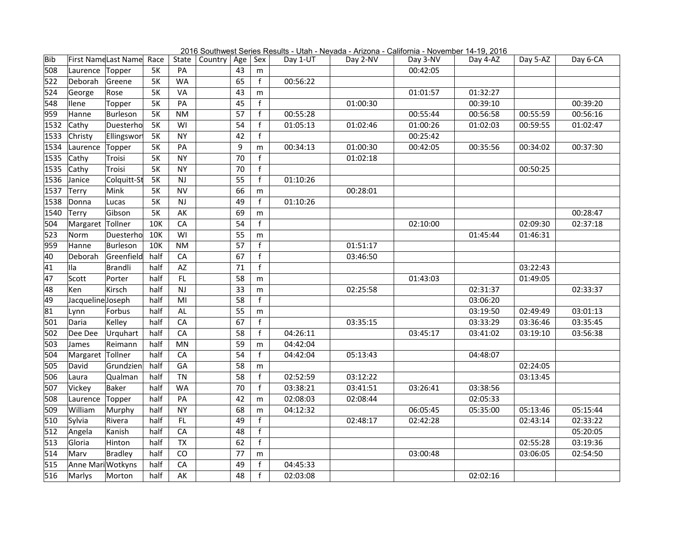| Bib  |                   | First NameLast Name Race |           | State     | Country | Age $ $ | Sex          | Day 1-UT | Day 2-NV | Day 3-NV | Day 4-AZ | Day 5-AZ | Day 6-CA |
|------|-------------------|--------------------------|-----------|-----------|---------|---------|--------------|----------|----------|----------|----------|----------|----------|
| 508  | Laurence          | Topper                   | <b>5K</b> | PA        |         | 43      | m            |          |          | 00:42:05 |          |          |          |
| 522  | Deborah           | Greene                   | <b>5K</b> | <b>WA</b> |         | 65      | f            | 00:56:22 |          |          |          |          |          |
| 524  | George            | Rose                     | <b>5K</b> | VA        |         | 43      | m            |          |          | 01:01:57 | 01:32:27 |          |          |
| 548  | <b>Ilene</b>      | Topper                   | <b>5K</b> | PA        |         | 45      | f            |          | 01:00:30 |          | 00:39:10 |          | 00:39:20 |
| 959  | Hanne             | Burleson                 | <b>5K</b> | <b>NM</b> |         | 57      | f            | 00:55:28 |          | 00:55:44 | 00:56:58 | 00:55:59 | 00:56:16 |
| 1532 | Cathy             | Duesterho                | <b>5K</b> | WI        |         | 54      | f            | 01:05:13 | 01:02:46 | 01:00:26 | 01:02:03 | 00:59:55 | 01:02:47 |
| 1533 | Christy           | Ellingswort              | <b>5K</b> | <b>NY</b> |         | 42      | f            |          |          | 00:25:42 |          |          |          |
| 1534 | Laurence          | Topper                   | <b>5K</b> | PA        |         | 9       | m            | 00:34:13 | 01:00:30 | 00:42:05 | 00:35:56 | 00:34:02 | 00:37:30 |
| 1535 | Cathy             | Troisi                   | <b>5K</b> | <b>NY</b> |         | 70      | f            |          | 01:02:18 |          |          |          |          |
| 1535 | Cathy             | Troisi                   | <b>5K</b> | <b>NY</b> |         | 70      | f            |          |          |          |          | 00:50:25 |          |
| 1536 | Janice            | Colquitt-St              | <b>5K</b> | NJ        |         | 55      | f            | 01:10:26 |          |          |          |          |          |
| 1537 | Terry             | Mink                     | <b>5K</b> | <b>NV</b> |         | 66      | m            |          | 00:28:01 |          |          |          |          |
| 1538 | Donna             | Lucas                    | <b>5K</b> | <b>NJ</b> |         | 49      | $\mathbf{f}$ | 01:10:26 |          |          |          |          |          |
| 1540 | Terry             | Gibson                   | <b>5K</b> | AK        |         | 69      | m            |          |          |          |          |          | 00:28:47 |
| 504  | Margaret Tollner  |                          | 10K       | CA        |         | 54      | $\mathsf f$  |          |          | 02:10:00 |          | 02:09:30 | 02:37:18 |
| 523  | Norm              | Duesterho                | 10K       | WI        |         | 55      | m            |          |          |          | 01:45:44 | 01:46:31 |          |
| 959  | Hanne             | Burleson                 | 10K       | <b>NM</b> |         | 57      | f            |          | 01:51:17 |          |          |          |          |
| 40   | Deborah           | Greenfield               | half      | CA        |         | 67      | f            |          | 03:46:50 |          |          |          |          |
| 41   | Ila               | Brandli                  | half      | AZ        |         | 71      | f            |          |          |          |          | 03:22:43 |          |
| 47   | Scott             | Porter                   | half      | FL        |         | 58      | m            |          |          | 01:43:03 |          | 01:49:05 |          |
| 48   | Ken               | Kirsch                   | half      | NJ        |         | 33      | m            |          | 02:25:58 |          | 02:31:37 |          | 02:33:37 |
| 49   | Jacqueline Joseph |                          | half      | MI        |         | 58      | f            |          |          |          | 03:06:20 |          |          |
| 81   | Lynn              | Forbus                   | half      | AL        |         | 55      | m            |          |          |          | 03:19:50 | 02:49:49 | 03:01:13 |
| 501  | Daria             | Kelley                   | half      | CA        |         | 67      | f            |          | 03:35:15 |          | 03:33:29 | 03:36:46 | 03:35:45 |
| 502  | Dee Dee           | Urquhart                 | half      | CA        |         | 58      | f            | 04:26:11 |          | 03:45:17 | 03:41:02 | 03:19:10 | 03:56:38 |
| 503  | James             | Reimann                  | half      | MN        |         | 59      | m            | 04:42:04 |          |          |          |          |          |
| 504  | Margaret Tollner  |                          | half      | CA        |         | 54      | f            | 04:42:04 | 05:13:43 |          | 04:48:07 |          |          |
| 505  | David             | Grundzien                | half      | GA        |         | 58      | m            |          |          |          |          | 02:24:05 |          |
| 506  | Laura             | Qualman                  | half      | <b>TN</b> |         | 58      | f            | 02:52:59 | 03:12:22 |          |          | 03:13:45 |          |
| 507  | Vickey            | Baker                    | half      | <b>WA</b> |         | 70      | f            | 03:38:21 | 03:41:51 | 03:26:41 | 03:38:56 |          |          |
| 508  | Laurence          | Topper                   | half      | PA        |         | 42      | m            | 02:08:03 | 02:08:44 |          | 02:05:33 |          |          |
| 509  | William           | Murphy                   | half      | <b>NY</b> |         | 68      | m            | 04:12:32 |          | 06:05:45 | 05:35:00 | 05:13:46 | 05:15:44 |
| 510  | Sylvia            | Rivera                   | half      | FL.       |         | 49      | f            |          | 02:48:17 | 02:42:28 |          | 02:43:14 | 02:33:22 |
| 512  | Angela            | Kanish                   | half      | CA        |         | 48      | f            |          |          |          |          |          | 05:20:05 |
| 513  | Gloria            | Hinton                   | half      | <b>TX</b> |         | 62      | f            |          |          |          |          | 02:55:28 | 03:19:36 |
| 514  | Marv              | Bradley                  | half      | CO        |         | 77      | m            |          |          | 03:00:48 |          | 03:06:05 | 02:54:50 |
| 515  | Anne MariWotkyns  |                          | half      | CA        |         | 49      | f            | 04:45:33 |          |          |          |          |          |
| 516  | Marlys            | Morton                   | half      | AK        |         | 48      | f            | 02:03:08 |          |          | 02:02:16 |          |          |

2016 Southwest Series Results - Utah - Nevada - Arizona - California - November 14-19, 2016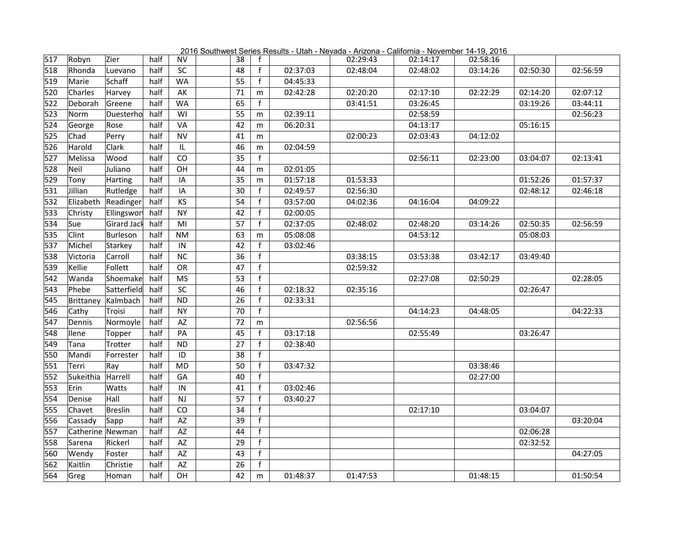|     |                  |             |      |           | ovuu IV |    |              | <u>count</u><br>$0.011 - 110.000$ |          | <u>NILONG Camonna Novembe</u> | $1 - 10.20$ |          |          |
|-----|------------------|-------------|------|-----------|---------|----|--------------|-----------------------------------|----------|-------------------------------|-------------|----------|----------|
| 517 | Robyn            | Zier        | half | <b>NV</b> |         | 38 | $\mathbf{f}$ |                                   | 02:29:43 | 02:14:17                      | 02:58:16    |          |          |
| 518 | Rhonda           | Luevano     | half | SC        |         | 48 | f            | 02:37:03                          | 02:48:04 | 02:48:02                      | 03:14:26    | 02:50:30 | 02:56:59 |
| 519 | Marie            | Schaff      | half | <b>WA</b> |         | 55 | $\mathbf{f}$ | 04:45:33                          |          |                               |             |          |          |
| 520 | Charles          | Harvey      | half | AK        |         | 71 | m            | 02:42:28                          | 02:20:20 | 02:17:10                      | 02:22:29    | 02:14:20 | 02:07:12 |
| 522 | Deborah          | Greene      | half | <b>WA</b> |         | 65 | f            |                                   | 03:41:51 | 03:26:45                      |             | 03:19:26 | 03:44:11 |
| 523 | Norm             | Duesterho   | half | WI        |         | 55 | m            | 02:39:11                          |          | 02:58:59                      |             |          | 02:56:23 |
| 524 | George           | Rose        | half | VA        |         | 42 | m            | 06:20:31                          |          | 04:13:17                      |             | 05:16:15 |          |
| 525 | Chad             | Perry       | half | <b>NV</b> |         | 41 | m            |                                   | 02:00:23 | 02:03:43                      | 04:12:02    |          |          |
| 526 | Harold           | Clark       | half | IL.       |         | 46 | m            | 02:04:59                          |          |                               |             |          |          |
| 527 | Melissa          | Wood        | half | CO        |         | 35 | f            |                                   |          | 02:56:11                      | 02:23:00    | 03:04:07 | 02:13:41 |
| 528 | Neil             | Juliano     | half | OH        |         | 44 | m            | 02:01:05                          |          |                               |             |          |          |
| 529 | Tony             | Harting     | half | IA        |         | 35 | m            | 01:57:18                          | 01:53:33 |                               |             | 01:52:26 | 01:57:37 |
| 531 | Jillian          | Rutledge    | half | IA        |         | 30 | f            | 02:49:57                          | 02:56:30 |                               |             | 02:48:12 | 02:46:18 |
| 532 | Elizabeth        | Readinger   | half | KS        |         | 54 | f            | 03:57:00                          | 04:02:36 | 04:16:04                      | 04:09:22    |          |          |
| 533 | Christy          | Ellingswort | half | <b>NY</b> |         | 42 | $\mathbf{f}$ | 02:00:05                          |          |                               |             |          |          |
| 534 | Sue              | Girard Jack | half | MI        |         | 57 | f            | 02:37:05                          | 02:48:02 | 02:48:20                      | 03:14:26    | 02:50:35 | 02:56:59 |
| 535 | Clint            | Burleson    | half | <b>NM</b> |         | 63 | m            | 05:08:08                          |          | 04:53:12                      |             | 05:08:03 |          |
| 537 | Michel           | Starkey     | half | IN        |         | 42 | f            | 03:02:46                          |          |                               |             |          |          |
| 538 | Victoria         | Carroll     | half | <b>NC</b> |         | 36 | f            |                                   | 03:38:15 | 03:53:38                      | 03:42:17    | 03:49:40 |          |
| 539 | Kellie           | Follett     | half | OR        |         | 47 | f            |                                   | 02:59:32 |                               |             |          |          |
| 542 | Wanda            | Shoemake    | half | <b>MS</b> |         | 53 | f            |                                   |          | 02:27:08                      | 02:50:29    |          | 02:28:05 |
| 543 | Phebe            | Satterfield | half | SC        |         | 46 | f            | 02:18:32                          | 02:35:16 |                               |             | 02:26:47 |          |
| 545 | Brittaney        | Kalmbach    | half | <b>ND</b> |         | 26 | f            | 02:33:31                          |          |                               |             |          |          |
| 546 | Cathy            | Troisi      | half | <b>NY</b> |         | 70 | f            |                                   |          | 04:14:23                      | 04:48:05    |          | 04:22:33 |
| 547 | Dennis           | Normoyle    | half | AZ        |         | 72 | m            |                                   | 02:56:56 |                               |             |          |          |
| 548 | <b>Ilene</b>     | Topper      | half | PA        |         | 45 | $\mathbf{f}$ | 03:17:18                          |          | 02:55:49                      |             | 03:26:47 |          |
| 549 | Tana             | Trotter     | half | <b>ND</b> |         | 27 | f            | 02:38:40                          |          |                               |             |          |          |
| 550 | Mandi            | Forrester   | half | ID        |         | 38 | f            |                                   |          |                               |             |          |          |
| 551 | Terri            | Ray         | half | <b>MD</b> |         | 50 | f            | 03:47:32                          |          |                               | 03:38:46    |          |          |
| 552 | Sukeithia        | Harrell     | half | GA        |         | 40 | f            |                                   |          |                               | 02:27:00    |          |          |
| 553 | Erin             | Watts       | half | IN        |         | 41 | f            | 03:02:46                          |          |                               |             |          |          |
| 554 | Denise           | Hall        | half | NJ        |         | 57 | f            | 03:40:27                          |          |                               |             |          |          |
| 555 | Chavet           | Breslin     | half | CO        |         | 34 | f            |                                   |          | 02:17:10                      |             | 03:04:07 |          |
| 556 | Cassady          | Sapp        | half | AZ        |         | 39 | f            |                                   |          |                               |             |          | 03:20:04 |
| 557 | Catherine Newman |             | half | AZ        |         | 44 | f            |                                   |          |                               |             | 02:06:28 |          |
| 558 | Sarena           | Rickerl     | half | AZ        |         | 29 | f            |                                   |          |                               |             | 02:32:52 |          |
| 560 | Wendy            | Foster      | half | AZ        |         | 43 | f            |                                   |          |                               |             |          | 04:27:05 |
| 562 | Kaitlin          | Christie    | half | AZ        |         | 26 | f            |                                   |          |                               |             |          |          |
| 564 | Greg             | Homan       | half | OH        |         | 42 | m            | 01:48:37                          | 01:47:53 |                               | 01:48:15    |          | 01:50:54 |

2016 Southwest Series Results - Utah - Nevada - Arizona - California - November 14-19, 2016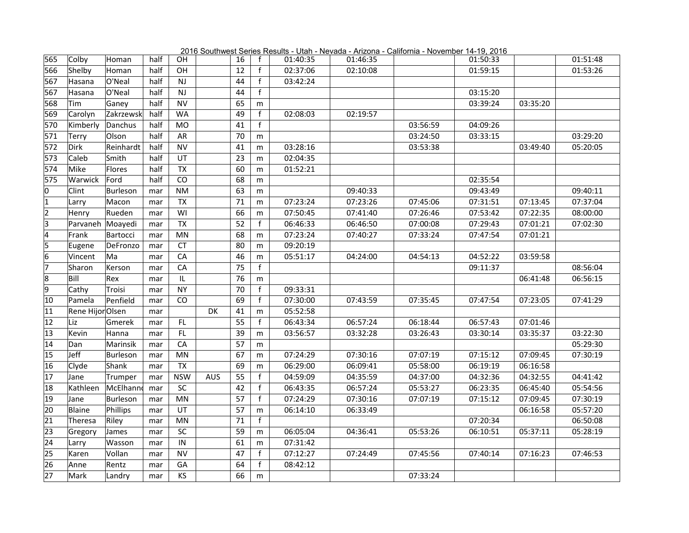| 2016 Southwest Series Results - Utah - Nevada - Arizona - California - November 14-19, 2016 |  |  |  |  |  |  |  |  |  |
|---------------------------------------------------------------------------------------------|--|--|--|--|--|--|--|--|--|
|                                                                                             |  |  |  |  |  |  |  |  |  |

| 565                     | Colby           | Homan     | half | OH                                |            | 16              | $\mathsf{f}$ | 01:40:35 | 01:46:35 |          | 01:50:33 |          | 01:51:48 |
|-------------------------|-----------------|-----------|------|-----------------------------------|------------|-----------------|--------------|----------|----------|----------|----------|----------|----------|
| 566                     | Shelby          | Homan     | half | OH                                |            | 12              | f            | 02:37:06 | 02:10:08 |          | 01:59:15 |          | 01:53:26 |
| 567                     | Hasana          | O'Neal    | half | NJ                                |            | 44              | f            | 03:42:24 |          |          |          |          |          |
| 567                     | Hasana          | O'Neal    | half | <b>NJ</b>                         |            | 44              | $\mathbf{f}$ |          |          |          | 03:15:20 |          |          |
| 568                     | Tim             | Ganey     | half | <b>NV</b>                         |            | 65              | m            |          |          |          | 03:39:24 | 03:35:20 |          |
| 569                     | Carolyn         | Zakrzewsk | half | <b>WA</b>                         |            | 49              | f            | 02:08:03 | 02:19:57 |          |          |          |          |
| 570                     | Kimberly        | Danchus   | half | <b>MO</b>                         |            | 41              | f            |          |          | 03:56:59 | 04:09:26 |          |          |
| 571                     | Terry           | Olson     | half | AR                                |            | 70              | m            |          |          | 03:24:50 | 03:33:15 |          | 03:29:20 |
| 572                     | Dirk            | Reinhardt | half | <b>NV</b>                         |            | 41              | m            | 03:28:16 |          | 03:53:38 |          | 03:49:40 | 05:20:05 |
| 573                     | Caleb           | Smith     | half | UT                                |            | 23              | m            | 02:04:35 |          |          |          |          |          |
| 574                     | Mike            | Flores    | half | <b>TX</b>                         |            | 60              | m            | 01:52:21 |          |          |          |          |          |
| 575                     | Warwick         | Ford      | half | $\overline{co}$                   |            | 68              | m            |          |          |          | 02:35:54 |          |          |
| $\overline{0}$          | Clint           | Burleson  | mar  | <b>NM</b>                         |            | 63              | m            |          | 09:40:33 |          | 09:43:49 |          | 09:40:11 |
| $\overline{1}$          | Larry           | Macon     | mar  | TX                                |            | 71              | m            | 07:23:24 | 07:23:26 | 07:45:06 | 07:31:51 | 07:13:45 | 07:37:04 |
| $\overline{2}$          | Henry           | Rueden    | mar  | WI                                |            | 66              | m            | 07:50:45 | 07:41:40 | 07:26:46 | 07:53:42 | 07:22:35 | 08:00:00 |
| $\overline{\mathsf{3}}$ | Parvaneh        | Moayedi   | mar  | <b>TX</b>                         |            | 52              | $\mathsf f$  | 06:46:33 | 06:46:50 | 07:00:08 | 07:29:43 | 07:01:21 | 07:02:30 |
| $\overline{4}$          | Frank           | Bartocci  | mar  | MN                                |            | 68              | m            | 07:23:24 | 07:40:27 | 07:33:24 | 07:47:54 | 07:01:21 |          |
| $\overline{5}$          | Eugene          | DeFronzo  | mar  | CT                                |            | 80              | m            | 09:20:19 |          |          |          |          |          |
| $\overline{6}$          | Vincent         | lMa       | mar  | CA                                |            | 46              | m            | 05:51:17 | 04:24:00 | 04:54:13 | 04:52:22 | 03:59:58 |          |
| 7                       | Sharon          | Kerson    | mar  | CA                                |            | 75              | f            |          |          |          | 09:11:37 |          | 08:56:04 |
| $\overline{8}$          | Bill            | Rex       | mar  | $\ensuremath{\mathsf{IL}}\xspace$ |            | 76              | m            |          |          |          |          | 06:41:48 | 06:56:15 |
| $\overline{9}$          | Cathy           | Troisi    | mar  | <b>NY</b>                         |            | 70              | f            | 09:33:31 |          |          |          |          |          |
| 10                      | Pamela          | Penfield  | mar  | CO                                |            | 69              | f            | 07:30:00 | 07:43:59 | 07:35:45 | 07:47:54 | 07:23:05 | 07:41:29 |
| 11                      | Rene HijorOlsen |           | mar  |                                   | <b>DK</b>  | 41              | m            | 05:52:58 |          |          |          |          |          |
| 12                      | Liz             | Gmerek    | mar  | FL                                |            | $\overline{55}$ | $\mathbf{f}$ | 06:43:34 | 06:57:24 | 06:18:44 | 06:57:43 | 07:01:46 |          |
| 13                      | Kevin           | Hanna     | mar  | FL.                               |            | 39              | m            | 03:56:57 | 03:32:28 | 03:26:43 | 03:30:14 | 03:35:37 | 03:22:30 |
| 14                      | Dan             | Marinsik  | mar  | $\overline{CA}$                   |            | $\overline{57}$ | m            |          |          |          |          |          | 05:29:30 |
| 15                      | Jeff            | Burleson  | mar  | MN                                |            | 67              | m            | 07:24:29 | 07:30:16 | 07:07:19 | 07:15:12 | 07:09:45 | 07:30:19 |
| 16                      | Clyde           | Shank     | mar  | <b>TX</b>                         |            | 69              | m            | 06:29:00 | 06:09:41 | 05:58:00 | 06:19:19 | 06:16:58 |          |
| 17                      | Jane            | Trumper   | mar  | <b>NSW</b>                        | <b>AUS</b> | 55              | f            | 04:59:09 | 04:35:59 | 04:37:00 | 04:32:36 | 04:32:55 | 04:41:42 |
| 18                      | Kathleen        | McElhanno | mar  | SC                                |            | 42              | f            | 06:43:35 | 06:57:24 | 05:53:27 | 06:23:35 | 06:45:40 | 05:54:56 |
| 19                      | Jane            | Burleson  | mar  | MN                                |            | 57              | f            | 07:24:29 | 07:30:16 | 07:07:19 | 07:15:12 | 07:09:45 | 07:30:19 |
| 20                      | Blaine          | Phillips  | mar  | UT                                |            | 57              | m            | 06:14:10 | 06:33:49 |          |          | 06:16:58 | 05:57:20 |
| 21                      | Theresa         | Riley     | mar  | MN                                |            | 71              | $\mathbf{f}$ |          |          |          | 07:20:34 |          | 06:50:08 |
| 23                      | Gregory         | James     | mar  | SC                                |            | 59              | m            | 06:05:04 | 04:36:41 | 05:53:26 | 06:10:51 | 05:37:11 | 05:28:19 |
| 24                      | Larry           | Wasson    | mar  | IN                                |            | 61              | m            | 07:31:42 |          |          |          |          |          |
| 25                      | Karen           | Vollan    | mar  | <b>NV</b>                         |            | 47              | f            | 07:12:27 | 07:24:49 | 07:45:56 | 07:40:14 | 07:16:23 | 07:46:53 |
| 26                      | Anne            | Rentz     | mar  | GA                                |            | 64              | f            | 08:42:12 |          |          |          |          |          |
| 27                      | Mark            | Landry    | mar  | KS                                |            | 66              | m            |          |          | 07:33:24 |          |          |          |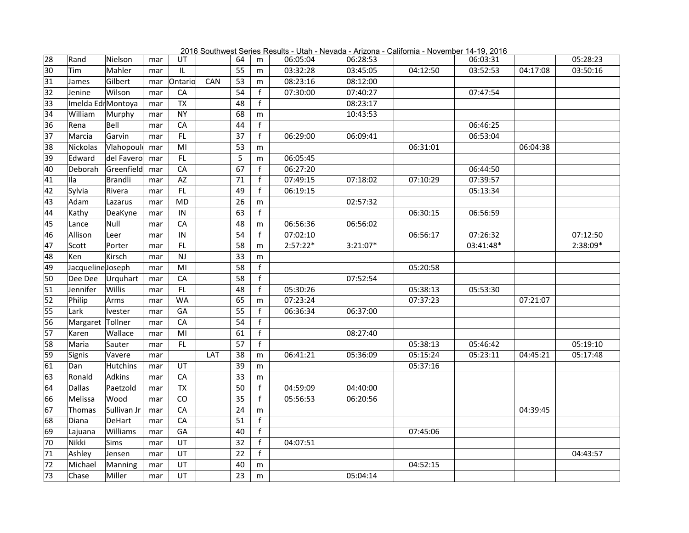2016 Southwest Series Results - Utah - Nevada - Arizona - California - November 14-19, 2016

| 28 | Rand              | Nielson     | mar | UT              |     | 64 | m              | 06:05:04   | 06:28:53   |          | 06:03:31  |          | 05:28:23 |
|----|-------------------|-------------|-----|-----------------|-----|----|----------------|------------|------------|----------|-----------|----------|----------|
| 30 | <b>Tim</b>        | Mahler      | mar | IL              |     | 55 | m              | 03:32:28   | 03:45:05   | 04:12:50 | 03:52:53  | 04:17:08 | 03:50:16 |
| 31 | James             | Gilbert     | mar | Ontario         | CAN | 53 | m              | 08:23:16   | 08:12:00   |          |           |          |          |
| 32 | Jenine            | Wilson      | mar | CA              |     | 54 | $\mathsf{f}$   | 07:30:00   | 07:40:27   |          | 07:47:54  |          |          |
| 33 | Imelda EdrMontoya |             | mar | $\overline{TX}$ |     | 48 | $\mathbf{f}$   |            | 08:23:17   |          |           |          |          |
| 34 | William           | Murphy      | mar | <b>NY</b>       |     | 68 | m              |            | 10:43:53   |          |           |          |          |
| 36 | Rena              | Bell        | mar | CA              |     | 44 | $\mathsf{f}$   |            |            |          | 06:46:25  |          |          |
| 37 | Marcia            | Garvin      | mar | FL.             |     | 37 | $\mathsf{f}$   | 06:29:00   | 06:09:41   |          | 06:53:04  |          |          |
| 38 | Nickolas          | Vlahopoul   | mar | MI              |     | 53 | m              |            |            | 06:31:01 |           | 06:04:38 |          |
| 39 | Edward            | del Favero  | mar | FL              |     | 5  | m              | 06:05:45   |            |          |           |          |          |
| 40 | Deborah           | Greenfield  | mar | CA              |     | 67 | f              | 06:27:20   |            |          | 06:44:50  |          |          |
| 41 | IIa               | Brandli     | mar | <b>AZ</b>       |     | 71 | $\mathsf{f}$   | 07:49:15   | 07:18:02   | 07:10:29 | 07:39:57  |          |          |
| 42 | Sylvia            | Rivera      | mar | FL              |     | 49 | $\mathbf{f}$   | 06:19:15   |            |          | 05:13:34  |          |          |
| 43 | Adam              | Lazarus     | mar | <b>MD</b>       |     | 26 | m              |            | 02:57:32   |          |           |          |          |
| 44 | Kathy             | DeaKyne     | mar | IN              |     | 63 | f              |            |            | 06:30:15 | 06:56:59  |          |          |
| 45 | Lance             | Null        | mar | CA              |     | 48 | m              | 06:56:36   | 06:56:02   |          |           |          |          |
| 46 | Allison           | Leer        | mar | IN              |     | 54 | $\mathsf{f}$   | 07:02:10   |            | 06:56:17 | 07:26:32  |          | 07:12:50 |
| 47 | Scott             | Porter      | mar | FL              |     | 58 | m              | $2:57:22*$ | $3:21:07*$ |          | 03:41:48* |          | 2:38:09* |
| 48 | Ken               | Kirsch      | mar | NJ              |     | 33 | m              |            |            |          |           |          |          |
| 49 | Jacqueline Joseph |             | mar | MI              |     | 58 | f              |            |            | 05:20:58 |           |          |          |
| 50 | Dee Dee           | Urquhart    | mar | ${\sf CA}$      |     | 58 | f              |            | 07:52:54   |          |           |          |          |
| 51 | Jennifer          | Willis      | mar | FL.             |     | 48 | f              | 05:30:26   |            | 05:38:13 | 05:53:30  |          |          |
| 52 | Philip            | Arms        | mar | <b>WA</b>       |     | 65 | m              | 07:23:24   |            | 07:37:23 |           | 07:21:07 |          |
| 55 | Lark              | lvester     | mar | GA              |     | 55 | $\mathsf{f}$   | 06:36:34   | 06:37:00   |          |           |          |          |
| 56 | Margaret Tollner  |             | mar | CA              |     | 54 | f              |            |            |          |           |          |          |
| 57 | Karen             | Wallace     | mar | MI              |     | 61 | f              |            | 08:27:40   |          |           |          |          |
| 58 | Maria             | Sauter      | mar | FL              |     | 57 | f              |            |            | 05:38:13 | 05:46:42  |          | 05:19:10 |
| 59 | Signis            | Vavere      | mar |                 | LAT | 38 | m              | 06:41:21   | 05:36:09   | 05:15:24 | 05:23:11  | 04:45:21 | 05:17:48 |
| 61 | Dan               | Hutchins    | mar | UT              |     | 39 | m              |            |            | 05:37:16 |           |          |          |
| 63 | Ronald            | Adkins      | mar | CA              |     | 33 | m              |            |            |          |           |          |          |
| 64 | Dallas            | Paetzold    | mar | <b>TX</b>       |     | 50 | $\mathbf{f}$   | 04:59:09   | 04:40:00   |          |           |          |          |
| 66 | Melissa           | Wood        | mar | CO              |     | 35 | $\mathbf{f}$   | 05:56:53   | 06:20:56   |          |           |          |          |
| 67 | Thomas            | Sullivan Jr | mar | CA              |     | 24 | m              |            |            |          |           | 04:39:45 |          |
| 68 | Diana             | DeHart      | mar | CA              |     | 51 | $\overline{f}$ |            |            |          |           |          |          |
| 69 | Lajuana           | Williams    | mar | GA              |     | 40 | $\mathsf{f}$   |            |            | 07:45:06 |           |          |          |
| 70 | Nikki             | Sims        | mar | UT              |     | 32 | f              | 04:07:51   |            |          |           |          |          |
| 71 | Ashley            | Jensen      | mar | UT              |     | 22 | f              |            |            |          |           |          | 04:43:57 |
| 72 | Michael           | Manning     | mar | UT              |     | 40 | m              |            |            | 04:52:15 |           |          |          |
| 73 | Chase             | Miller      | mar | UT              |     | 23 | m              |            | 05:04:14   |          |           |          |          |